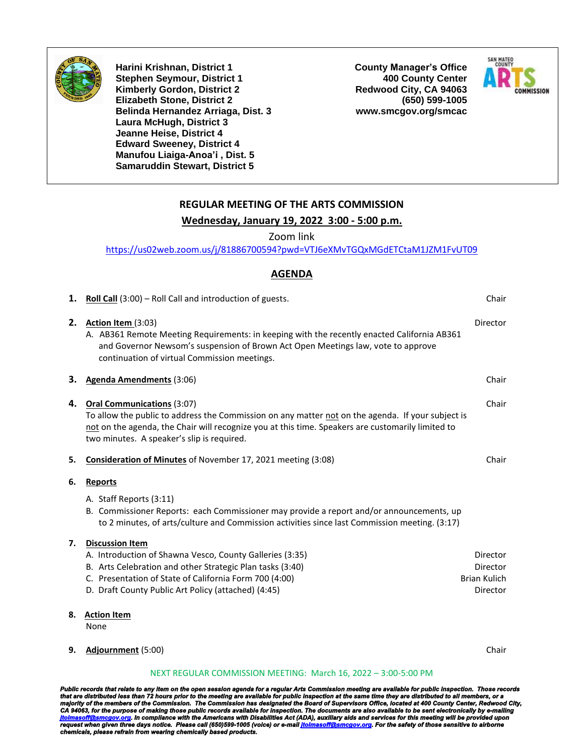

**Harini Krishnan, District 1 Stephen Seymour, District 1 Kimberly Gordon, District 2 Elizabeth Stone, District 2 Belinda Hernandez Arriaga, Dist. 3 Laura McHugh, District 3 Jeanne Heise, District 4 Edward Sweeney, District 4 Manufou Liaiga-Anoa'i , Dist. 5 Samaruddin Stewart, District 5**

**County Manager's Office 400 County Center Redwood City, CA 94063 (650) 599-1005 www.smcgov.org/smcac**



## **REGULAR MEETING OF THE ARTS COMMISSION**

#### **Wednesday, January 19, 2022 3:00 - 5:00 p.m.**

Zoom link

<https://us02web.zoom.us/j/81886700594?pwd=VTJ6eXMvTGQxMGdETCtaM1JZM1FvUT09>

### **AGENDA**

| 1. | <b>Roll Call</b> $(3:00)$ – Roll Call and introduction of guests.                                                                                                                                                                                                                         | Chair                       |
|----|-------------------------------------------------------------------------------------------------------------------------------------------------------------------------------------------------------------------------------------------------------------------------------------------|-----------------------------|
| 2. | Action Item (3:03)<br>A. AB361 Remote Meeting Requirements: in keeping with the recently enacted California AB361<br>and Governor Newsom's suspension of Brown Act Open Meetings law, vote to approve<br>continuation of virtual Commission meetings.                                     | <b>Director</b>             |
| з. | Agenda Amendments (3:06)                                                                                                                                                                                                                                                                  | Chair                       |
| 4. | <b>Oral Communications (3:07)</b><br>To allow the public to address the Commission on any matter not on the agenda. If your subject is<br>not on the agenda, the Chair will recognize you at this time. Speakers are customarily limited to<br>two minutes. A speaker's slip is required. | Chair                       |
| 5. | Consideration of Minutes of November 17, 2021 meeting (3:08)                                                                                                                                                                                                                              | Chair                       |
| 6. | Reports                                                                                                                                                                                                                                                                                   |                             |
|    | A. Staff Reports (3:11)<br>B. Commissioner Reports: each Commissioner may provide a report and/or announcements, up<br>to 2 minutes, of arts/culture and Commission activities since last Commission meeting. (3:17)                                                                      |                             |
| 7. | <b>Discussion Item</b>                                                                                                                                                                                                                                                                    |                             |
|    | A. Introduction of Shawna Vesco, County Galleries (3:35)<br>B. Arts Celebration and other Strategic Plan tasks (3:40)                                                                                                                                                                     | Director<br><b>Director</b> |
|    | C. Presentation of State of California Form 700 (4:00)                                                                                                                                                                                                                                    | <b>Brian Kulich</b>         |
|    | D. Draft County Public Art Policy (attached) (4:45)                                                                                                                                                                                                                                       | <b>Director</b>             |
| 8. | <b>Action Item</b><br>None                                                                                                                                                                                                                                                                |                             |
| 9. | Adjournment (5:00)                                                                                                                                                                                                                                                                        | Chair                       |

#### NEXT REGULAR COMMISSION MEETING: March 16, 2022 – 3:00-5:00 PM

Public records that relate to any item on the open session agenda for a regular Arts Commission meeting are available for public inspection. Those records<br>that are distributed less than 72 hours prior to the meeting are av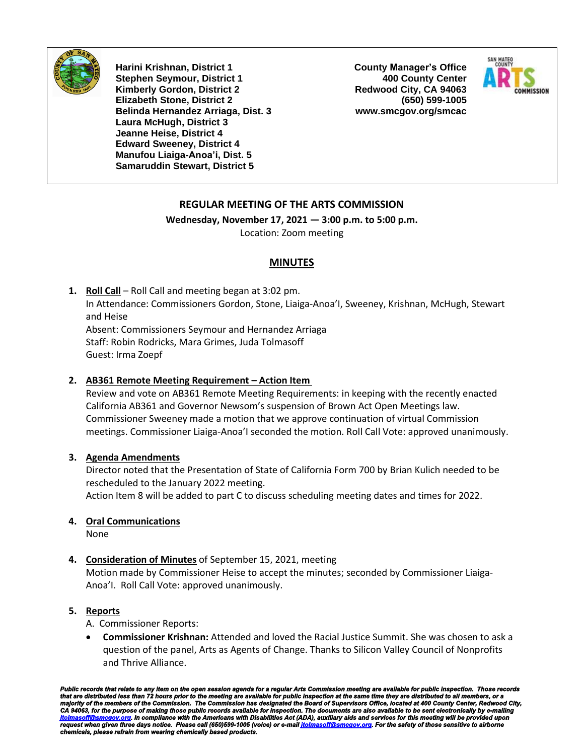

**Harini Krishnan, District 1 Stephen Seymour, District 1 Kimberly Gordon, District 2 Elizabeth Stone, District 2 Belinda Hernandez Arriaga, Dist. 3 Laura McHugh, District 3 Jeanne Heise, District 4 Edward Sweeney, District 4 Manufou Liaiga-Anoa'i, Dist. 5 Samaruddin Stewart, District 5**

**County Manager's Office 400 County Center Redwood City, CA 94063 (650) 599-1005 www.smcgov.org/smcac**



## **REGULAR MEETING OF THE ARTS COMMISSION**

**Wednesday, November 17, 2021 — 3:00 p.m. to 5:00 p.m.** Location: Zoom meeting

## **MINUTES**

**1. Roll Call** – Roll Call and meeting began at 3:02 pm. In Attendance: Commissioners Gordon, Stone, Liaiga-Anoa'I, Sweeney, Krishnan, McHugh, Stewart and Heise Absent: Commissioners Seymour and Hernandez Arriaga Staff: Robin Rodricks, Mara Grimes, Juda Tolmasoff Guest: Irma Zoepf

## **2. AB361 Remote Meeting Requirement – Action Item**

Review and vote on AB361 Remote Meeting Requirements: in keeping with the recently enacted California AB361 and Governor Newsom's suspension of Brown Act Open Meetings law. Commissioner Sweeney made a motion that we approve continuation of virtual Commission meetings. Commissioner Liaiga-Anoa'I seconded the motion. Roll Call Vote: approved unanimously.

## **3. Agenda Amendments**

Director noted that the Presentation of State of California Form 700 by Brian Kulich needed to be rescheduled to the January 2022 meeting. Action Item 8 will be added to part C to discuss scheduling meeting dates and times for 2022.

## **4. Oral Communications**

None

## **4. Consideration of Minutes** of September 15, 2021, meeting

Motion made by Commissioner Heise to accept the minutes; seconded by Commissioner Liaiga-Anoa'I. Roll Call Vote: approved unanimously.

## **5. Reports**

A. Commissioner Reports:

• **Commissioner Krishnan:** Attended and loved the Racial Justice Summit. She was chosen to ask a question of the panel, Arts as Agents of Change. Thanks to Silicon Valley Council of Nonprofits and Thrive Alliance.

Public records that relate to any item on the open session agenda for a regular Arts Commission meeting are available for public inspection. Those records<br>that are distributed less than 72 hours prior to the meeting are av *request when given three days notice. Please call (650)599-1005 (voice) or e-mai[l jtolmasoff@smcgov.org.](mailto:jtolmasoff@smcgov.org) For the safety of those sensitive to airborne chemicals, please refrain from wearing chemically based products.*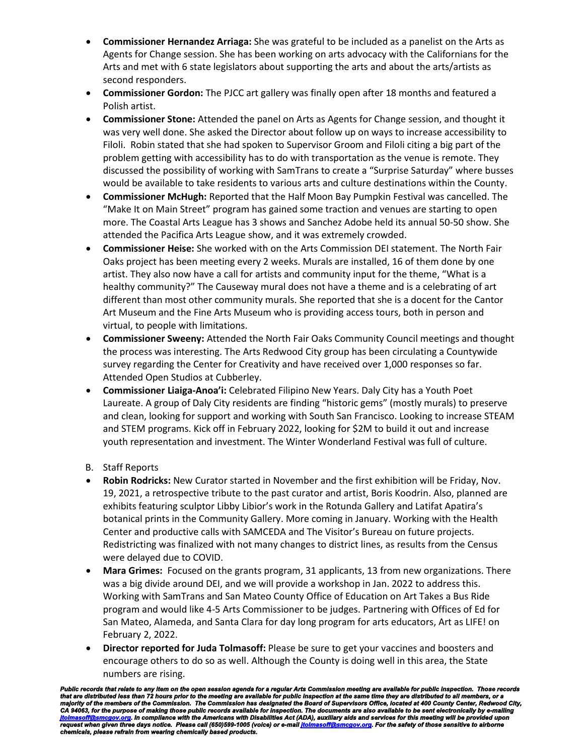- **Commissioner Hernandez Arriaga:** She was grateful to be included as a panelist on the Arts as Agents for Change session. She has been working on arts advocacy with the Californians for the Arts and met with 6 state legislators about supporting the arts and about the arts/artists as second responders.
- **Commissioner Gordon:** The PJCC art gallery was finally open after 18 months and featured a Polish artist.
- **Commissioner Stone:** Attended the panel on Arts as Agents for Change session, and thought it was very well done. She asked the Director about follow up on ways to increase accessibility to Filoli. Robin stated that she had spoken to Supervisor Groom and Filoli citing a big part of the problem getting with accessibility has to do with transportation as the venue is remote. They discussed the possibility of working with SamTrans to create a "Surprise Saturday" where busses would be available to take residents to various arts and culture destinations within the County.
- **Commissioner McHugh:** Reported that the Half Moon Bay Pumpkin Festival was cancelled. The "Make It on Main Street" program has gained some traction and venues are starting to open more. The Coastal Arts League has 3 shows and Sanchez Adobe held its annual 50-50 show. She attended the Pacifica Arts League show, and it was extremely crowded.
- **Commissioner Heise:** She worked with on the Arts Commission DEI statement. The North Fair Oaks project has been meeting every 2 weeks. Murals are installed, 16 of them done by one artist. They also now have a call for artists and community input for the theme, "What is a healthy community?" The Causeway mural does not have a theme and is a celebrating of art different than most other community murals. She reported that she is a docent for the Cantor Art Museum and the Fine Arts Museum who is providing access tours, both in person and virtual, to people with limitations.
- **Commissioner Sweeny:** Attended the North Fair Oaks Community Council meetings and thought the process was interesting. The Arts Redwood City group has been circulating a Countywide survey regarding the Center for Creativity and have received over 1,000 responses so far. Attended Open Studios at Cubberley.
- **Commissioner Liaiga-Anoa'i:** Celebrated Filipino New Years. Daly City has a Youth Poet Laureate. A group of Daly City residents are finding "historic gems" (mostly murals) to preserve and clean, looking for support and working with South San Francisco. Looking to increase STEAM and STEM programs. Kick off in February 2022, looking for \$2M to build it out and increase youth representation and investment. The Winter Wonderland Festival was full of culture.
- B. Staff Reports
- **Robin Rodricks:** New Curator started in November and the first exhibition will be Friday, Nov. 19, 2021, a retrospective tribute to the past curator and artist, Boris Koodrin. Also, planned are exhibits featuring sculptor Libby Libior's work in the Rotunda Gallery and Latifat Apatira's botanical prints in the Community Gallery. More coming in January. Working with the Health Center and productive calls with SAMCEDA and The Visitor's Bureau on future projects. Redistricting was finalized with not many changes to district lines, as results from the Census were delayed due to COVID.
- **Mara Grimes:** Focused on the grants program, 31 applicants, 13 from new organizations. There was a big divide around DEI, and we will provide a workshop in Jan. 2022 to address this. Working with SamTrans and San Mateo County Office of Education on Art Takes a Bus Ride program and would like 4-5 Arts Commissioner to be judges. Partnering with Offices of Ed for San Mateo, Alameda, and Santa Clara for day long program for arts educators, Art as LIFE! on February 2, 2022.
- **Director reported for Juda Tolmasoff:** Please be sure to get your vaccines and boosters and encourage others to do so as well. Although the County is doing well in this area, the State numbers are rising.

Public records that relate to any item on the open session agenda for a regular Arts Commission meeting are available for public inspection. Those records<br>that are distributed less than 72 hours prior to the meeting are av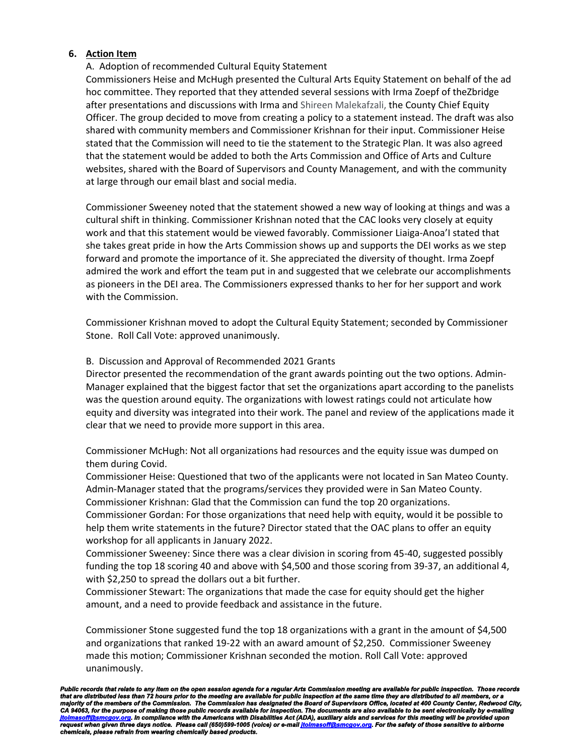## **6. Action Item**

## A. Adoption of recommended Cultural Equity Statement

Commissioners Heise and McHugh presented the Cultural Arts Equity Statement on behalf of the ad hoc committee. They reported that they attended several sessions with Irma Zoepf of theZbridge after presentations and discussions with Irma and Shireen Malekafzali, the County Chief Equity Officer. The group decided to move from creating a policy to a statement instead. The draft was also shared with community members and Commissioner Krishnan for their input. Commissioner Heise stated that the Commission will need to tie the statement to the Strategic Plan. It was also agreed that the statement would be added to both the Arts Commission and Office of Arts and Culture websites, shared with the Board of Supervisors and County Management, and with the community at large through our email blast and social media.

Commissioner Sweeney noted that the statement showed a new way of looking at things and was a cultural shift in thinking. Commissioner Krishnan noted that the CAC looks very closely at equity work and that this statement would be viewed favorably. Commissioner Liaiga-Anoa'I stated that she takes great pride in how the Arts Commission shows up and supports the DEI works as we step forward and promote the importance of it. She appreciated the diversity of thought. Irma Zoepf admired the work and effort the team put in and suggested that we celebrate our accomplishments as pioneers in the DEI area. The Commissioners expressed thanks to her for her support and work with the Commission.

Commissioner Krishnan moved to adopt the Cultural Equity Statement; seconded by Commissioner Stone. Roll Call Vote: approved unanimously.

## B. Discussion and Approval of Recommended 2021 Grants

Director presented the recommendation of the grant awards pointing out the two options. Admin-Manager explained that the biggest factor that set the organizations apart according to the panelists was the question around equity. The organizations with lowest ratings could not articulate how equity and diversity was integrated into their work. The panel and review of the applications made it clear that we need to provide more support in this area.

Commissioner McHugh: Not all organizations had resources and the equity issue was dumped on them during Covid.

Commissioner Heise: Questioned that two of the applicants were not located in San Mateo County. Admin-Manager stated that the programs/services they provided were in San Mateo County. Commissioner Krishnan: Glad that the Commission can fund the top 20 organizations.

Commissioner Gordan: For those organizations that need help with equity, would it be possible to help them write statements in the future? Director stated that the OAC plans to offer an equity workshop for all applicants in January 2022.

Commissioner Sweeney: Since there was a clear division in scoring from 45-40, suggested possibly funding the top 18 scoring 40 and above with \$4,500 and those scoring from 39-37, an additional 4, with \$2,250 to spread the dollars out a bit further.

Commissioner Stewart: The organizations that made the case for equity should get the higher amount, and a need to provide feedback and assistance in the future.

Commissioner Stone suggested fund the top 18 organizations with a grant in the amount of \$4,500 and organizations that ranked 19-22 with an award amount of \$2,250. Commissioner Sweeney made this motion; Commissioner Krishnan seconded the motion. Roll Call Vote: approved unanimously.

Public records that relate to any item on the open session agenda for a regular Arts Commission meeting are available for public inspection. Those records<br>that are distributed less than 72 hours prior to the meeting are av *request when given three days notice. Please call (650)599-1005 (voice) or e-mai[l jtolmasoff@smcgov.org.](mailto:jtolmasoff@smcgov.org) For the safety of those sensitive to airborne chemicals, please refrain from wearing chemically based products.*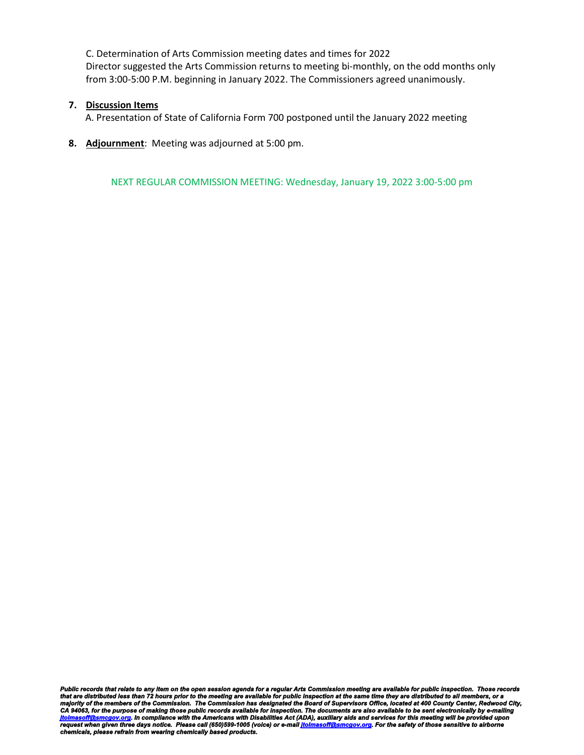C. Determination of Arts Commission meeting dates and times for 2022 Director suggested the Arts Commission returns to meeting bi-monthly, on the odd months only from 3:00-5:00 P.M. beginning in January 2022. The Commissioners agreed unanimously.

## **7. Discussion Items**

A. Presentation of State of California Form 700 postponed until the January 2022 meeting

**8. Adjournment**: Meeting was adjourned at 5:00 pm.

NEXT REGULAR COMMISSION MEETING: Wednesday, January 19, 2022 3:00-5:00 pm

Public records that relate to any item on the open session agenda for a regular Arts Commission meeting are available for public inspection. Those records<br>that are distributed less than 72 hours prior to the meeting are av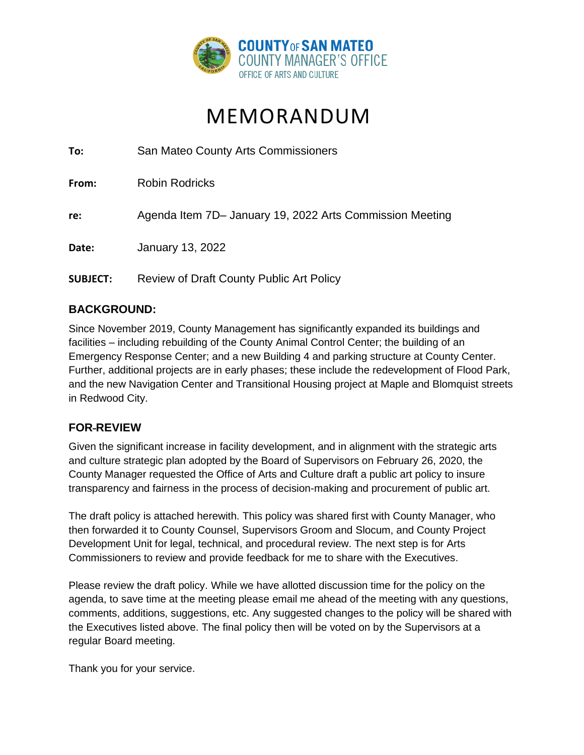

# MEMORANDUM

**To:** San Mateo County Arts Commissioners

**From:** Robin Rodricks

**re:** Agenda Item 7D– January 19, 2022 Arts Commission Meeting

**Date:** January 13, 2022

**SUBJECT:** Review of Draft County Public Art Policy

# **BACKGROUND:**

Since November 2019, County Management has significantly expanded its buildings and facilities – including rebuilding of the County Animal Control Center; the building of an Emergency Response Center; and a new Building 4 and parking structure at County Center. Further, additional projects are in early phases; these include the redevelopment of Flood Park, and the new Navigation Center and Transitional Housing project at Maple and Blomquist streets in Redwood City.

## **FOR REVIEW**

Given the significant increase in facility development, and in alignment with the strategic arts and culture strategic plan adopted by the Board of Supervisors on February 26, 2020, the County Manager requested the Office of Arts and Culture draft a public art policy to insure transparency and fairness in the process of decision-making and procurement of public art.

The draft policy is attached herewith. This policy was shared first with County Manager, who then forwarded it to County Counsel, Supervisors Groom and Slocum, and County Project Development Unit for legal, technical, and procedural review. The next step is for Arts Commissioners to review and provide feedback for me to share with the Executives.

Please review the draft policy. While we have allotted discussion time for the policy on the agenda, to save time at the meeting please email me ahead of the meeting with any questions, comments, additions, suggestions, etc. Any suggested changes to the policy will be shared with the Executives listed above. The final policy then will be voted on by the Supervisors at a regular Board meeting.

Thank you for your service.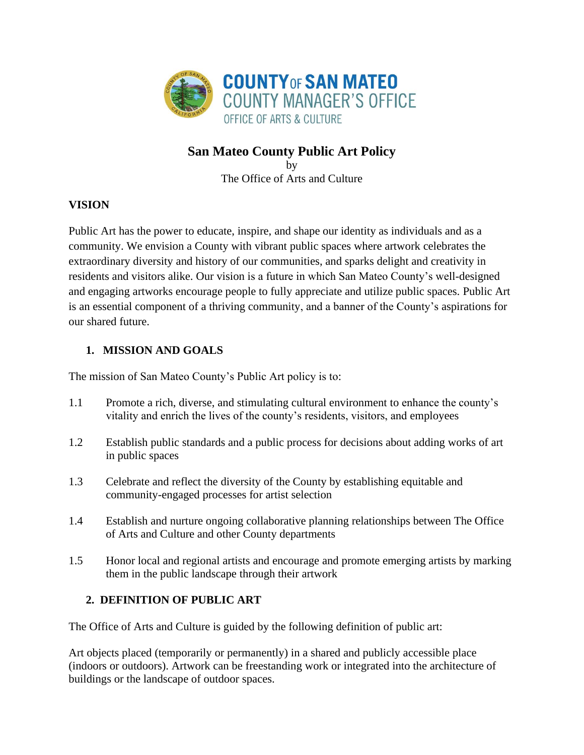

# **San Mateo County Public Art Policy**

by The Office of Arts and Culture

# **VISION**

Public Art has the power to educate, inspire, and shape our identity as individuals and as a community. We envision a County with vibrant public spaces where artwork celebrates the extraordinary diversity and history of our communities, and sparks delight and creativity in residents and visitors alike. Our vision is a future in which San Mateo County's well-designed and engaging artworks encourage people to fully appreciate and utilize public spaces. Public Art is an essential component of a thriving community, and a banner of the County's aspirations for our shared future.

# **1. MISSION AND GOALS**

The mission of San Mateo County's Public Art policy is to:

- 1.1 Promote a rich, diverse, and stimulating cultural environment to enhance the county's vitality and enrich the lives of the county's residents, visitors, and employees
- 1.2 Establish public standards and a public process for decisions about adding works of art in public spaces
- 1.3 Celebrate and reflect the diversity of the County by establishing equitable and community-engaged processes for artist selection
- 1.4 Establish and nurture ongoing collaborative planning relationships between The Office of Arts and Culture and other County departments
- 1.5 Honor local and regional artists and encourage and promote emerging artists by marking them in the public landscape through their artwork

# **2. DEFINITION OF PUBLIC ART**

The Office of Arts and Culture is guided by the following definition of public art:

Art objects placed (temporarily or permanently) in a shared and publicly accessible place (indoors or outdoors). Artwork can be freestanding work or integrated into the architecture of buildings or the landscape of outdoor spaces.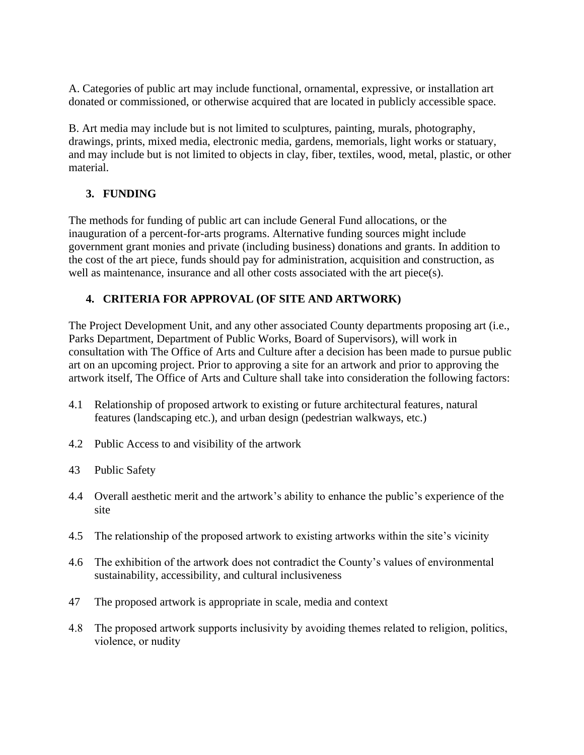A. Categories of public art may include functional, ornamental, expressive, or installation art donated or commissioned, or otherwise acquired that are located in publicly accessible space.

B. Art media may include but is not limited to sculptures, painting, murals, photography, drawings, prints, mixed media, electronic media, gardens, memorials, light works or statuary, and may include but is not limited to objects in clay, fiber, textiles, wood, metal, plastic, or other material.

# **3. FUNDING**

The methods for funding of public art can include General Fund allocations, or the inauguration of a percent-for-arts programs. Alternative funding sources might include government grant monies and private (including business) donations and grants. In addition to the cost of the art piece, funds should pay for administration, acquisition and construction, as well as maintenance, insurance and all other costs associated with the art piece(s).

# **4. CRITERIA FOR APPROVAL (OF SITE AND ARTWORK)**

The Project Development Unit, and any other associated County departments proposing art (i.e., Parks Department, Department of Public Works, Board of Supervisors), will work in consultation with The Office of Arts and Culture after a decision has been made to pursue public art on an upcoming project. Prior to approving a site for an artwork and prior to approving the artwork itself, The Office of Arts and Culture shall take into consideration the following factors:

- 4.1 Relationship of proposed artwork to existing or future architectural features, natural features (landscaping etc.), and urban design (pedestrian walkways, etc.)
- 4.2 Public Access to and visibility of the artwork
- 43 Public Safety
- 4.4 Overall aesthetic merit and the artwork's ability to enhance the public's experience of the site
- 4.5 The relationship of the proposed artwork to existing artworks within the site's vicinity
- 4.6 The exhibition of the artwork does not contradict the County's values of environmental sustainability, accessibility, and cultural inclusiveness
- 47 The proposed artwork is appropriate in scale, media and context
- 4.8 The proposed artwork supports inclusivity by avoiding themes related to religion, politics, violence, or nudity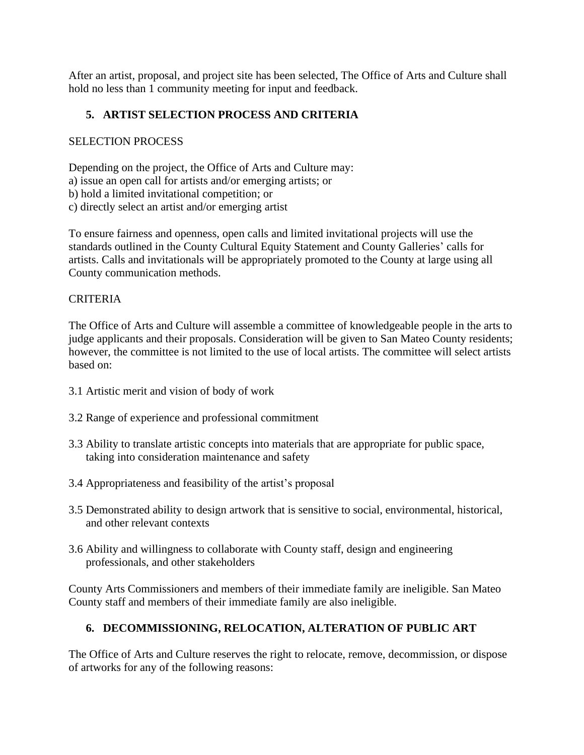After an artist, proposal, and project site has been selected, The Office of Arts and Culture shall hold no less than 1 community meeting for input and feedback.

# **5. ARTIST SELECTION PROCESS AND CRITERIA**

# SELECTION PROCESS

Depending on the project, the Office of Arts and Culture may: a) issue an open call for artists and/or emerging artists; or b) hold a limited invitational competition; or c) directly select an artist and/or emerging artist

To ensure fairness and openness, open calls and limited invitational projects will use the standards outlined in the County Cultural Equity Statement and County Galleries' calls for artists. Calls and invitationals will be appropriately promoted to the County at large using all County communication methods.

# CRITERIA

The Office of Arts and Culture will assemble a committee of knowledgeable people in the arts to judge applicants and their proposals. Consideration will be given to San Mateo County residents; however, the committee is not limited to the use of local artists. The committee will select artists based on:

- 3.1 Artistic merit and vision of body of work
- 3.2 Range of experience and professional commitment
- 3.3 Ability to translate artistic concepts into materials that are appropriate for public space, taking into consideration maintenance and safety
- 3.4 Appropriateness and feasibility of the artist's proposal
- 3.5 Demonstrated ability to design artwork that is sensitive to social, environmental, historical, and other relevant contexts
- 3.6 Ability and willingness to collaborate with County staff, design and engineering professionals, and other stakeholders

County Arts Commissioners and members of their immediate family are ineligible. San Mateo County staff and members of their immediate family are also ineligible.

# **6. DECOMMISSIONING, RELOCATION, ALTERATION OF PUBLIC ART**

The Office of Arts and Culture reserves the right to relocate, remove, decommission, or dispose of artworks for any of the following reasons: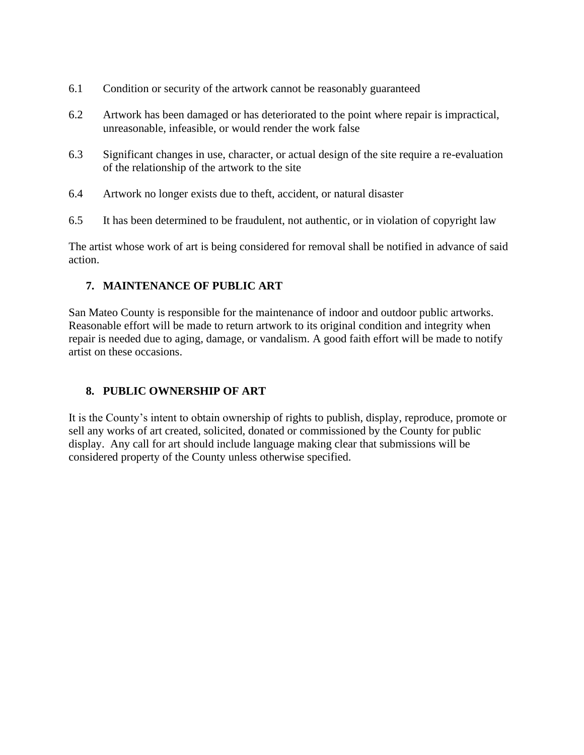- 6.1 Condition or security of the artwork cannot be reasonably guaranteed
- 6.2 Artwork has been damaged or has deteriorated to the point where repair is impractical, unreasonable, infeasible, or would render the work false
- 6.3 Significant changes in use, character, or actual design of the site require a re-evaluation of the relationship of the artwork to the site
- 6.4 Artwork no longer exists due to theft, accident, or natural disaster
- 6.5 It has been determined to be fraudulent, not authentic, or in violation of copyright law

The artist whose work of art is being considered for removal shall be notified in advance of said action.

## **7. MAINTENANCE OF PUBLIC ART**

San Mateo County is responsible for the maintenance of indoor and outdoor public artworks. Reasonable effort will be made to return artwork to its original condition and integrity when repair is needed due to aging, damage, or vandalism. A good faith effort will be made to notify artist on these occasions.

## **8. PUBLIC OWNERSHIP OF ART**

It is the County's intent to obtain ownership of rights to publish, display, reproduce, promote or sell any works of art created, solicited, donated or commissioned by the County for public display. Any call for art should include language making clear that submissions will be considered property of the County unless otherwise specified.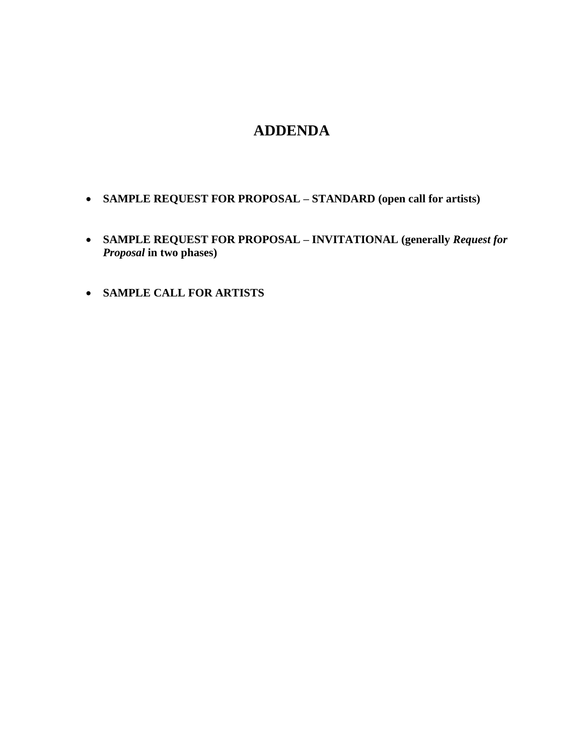# **ADDENDA**

- **SAMPLE REQUEST FOR PROPOSAL – STANDARD (open call for artists)**
- **SAMPLE REQUEST FOR PROPOSAL – INVITATIONAL (generally** *Request for Proposal* **in two phases)**
- **SAMPLE CALL FOR ARTISTS**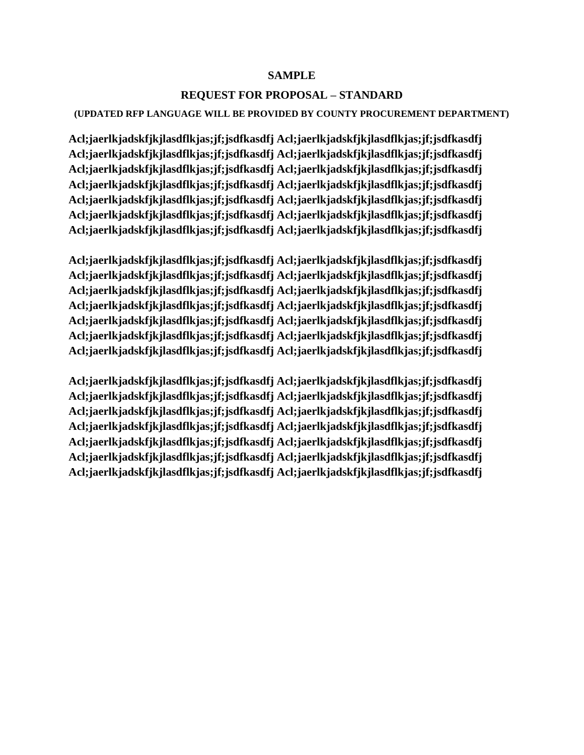## **SAMPLE**

## **REQUEST FOR PROPOSAL – STANDARD**

### **(UPDATED RFP LANGUAGE WILL BE PROVIDED BY COUNTY PROCUREMENT DEPARTMENT)**

**Acl;jaerlkjadskfjkjlasdflkjas;jf;jsdfkasdfj Acl;jaerlkjadskfjkjlasdflkjas;jf;jsdfkasdfj Acl;jaerlkjadskfjkjlasdflkjas;jf;jsdfkasdfj Acl;jaerlkjadskfjkjlasdflkjas;jf;jsdfkasdfj Acl;jaerlkjadskfjkjlasdflkjas;jf;jsdfkasdfj Acl;jaerlkjadskfjkjlasdflkjas;jf;jsdfkasdfj Acl;jaerlkjadskfjkjlasdflkjas;jf;jsdfkasdfj Acl;jaerlkjadskfjkjlasdflkjas;jf;jsdfkasdfj Acl;jaerlkjadskfjkjlasdflkjas;jf;jsdfkasdfj Acl;jaerlkjadskfjkjlasdflkjas;jf;jsdfkasdfj Acl;jaerlkjadskfjkjlasdflkjas;jf;jsdfkasdfj Acl;jaerlkjadskfjkjlasdflkjas;jf;jsdfkasdfj Acl;jaerlkjadskfjkjlasdflkjas;jf;jsdfkasdfj Acl;jaerlkjadskfjkjlasdflkjas;jf;jsdfkasdfj**

**Acl;jaerlkjadskfjkjlasdflkjas;jf;jsdfkasdfj Acl;jaerlkjadskfjkjlasdflkjas;jf;jsdfkasdfj Acl;jaerlkjadskfjkjlasdflkjas;jf;jsdfkasdfj Acl;jaerlkjadskfjkjlasdflkjas;jf;jsdfkasdfj Acl;jaerlkjadskfjkjlasdflkjas;jf;jsdfkasdfj Acl;jaerlkjadskfjkjlasdflkjas;jf;jsdfkasdfj Acl;jaerlkjadskfjkjlasdflkjas;jf;jsdfkasdfj Acl;jaerlkjadskfjkjlasdflkjas;jf;jsdfkasdfj Acl;jaerlkjadskfjkjlasdflkjas;jf;jsdfkasdfj Acl;jaerlkjadskfjkjlasdflkjas;jf;jsdfkasdfj Acl;jaerlkjadskfjkjlasdflkjas;jf;jsdfkasdfj Acl;jaerlkjadskfjkjlasdflkjas;jf;jsdfkasdfj Acl;jaerlkjadskfjkjlasdflkjas;jf;jsdfkasdfj Acl;jaerlkjadskfjkjlasdflkjas;jf;jsdfkasdfj**

**Acl;jaerlkjadskfjkjlasdflkjas;jf;jsdfkasdfj Acl;jaerlkjadskfjkjlasdflkjas;jf;jsdfkasdfj Acl;jaerlkjadskfjkjlasdflkjas;jf;jsdfkasdfj Acl;jaerlkjadskfjkjlasdflkjas;jf;jsdfkasdfj Acl;jaerlkjadskfjkjlasdflkjas;jf;jsdfkasdfj Acl;jaerlkjadskfjkjlasdflkjas;jf;jsdfkasdfj Acl;jaerlkjadskfjkjlasdflkjas;jf;jsdfkasdfj Acl;jaerlkjadskfjkjlasdflkjas;jf;jsdfkasdfj Acl;jaerlkjadskfjkjlasdflkjas;jf;jsdfkasdfj Acl;jaerlkjadskfjkjlasdflkjas;jf;jsdfkasdfj Acl;jaerlkjadskfjkjlasdflkjas;jf;jsdfkasdfj Acl;jaerlkjadskfjkjlasdflkjas;jf;jsdfkasdfj Acl;jaerlkjadskfjkjlasdflkjas;jf;jsdfkasdfj Acl;jaerlkjadskfjkjlasdflkjas;jf;jsdfkasdfj**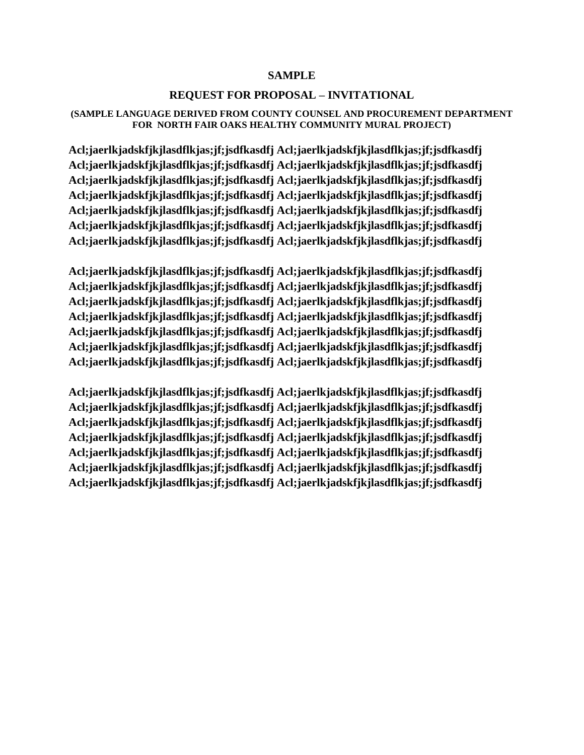## **SAMPLE**

## **REQUEST FOR PROPOSAL – INVITATIONAL**

#### **(SAMPLE LANGUAGE DERIVED FROM COUNTY COUNSEL AND PROCUREMENT DEPARTMENT FOR NORTH FAIR OAKS HEALTHY COMMUNITY MURAL PROJECT)**

**Acl;jaerlkjadskfjkjlasdflkjas;jf;jsdfkasdfj Acl;jaerlkjadskfjkjlasdflkjas;jf;jsdfkasdfj Acl;jaerlkjadskfjkjlasdflkjas;jf;jsdfkasdfj Acl;jaerlkjadskfjkjlasdflkjas;jf;jsdfkasdfj Acl;jaerlkjadskfjkjlasdflkjas;jf;jsdfkasdfj Acl;jaerlkjadskfjkjlasdflkjas;jf;jsdfkasdfj Acl;jaerlkjadskfjkjlasdflkjas;jf;jsdfkasdfj Acl;jaerlkjadskfjkjlasdflkjas;jf;jsdfkasdfj Acl;jaerlkjadskfjkjlasdflkjas;jf;jsdfkasdfj Acl;jaerlkjadskfjkjlasdflkjas;jf;jsdfkasdfj Acl;jaerlkjadskfjkjlasdflkjas;jf;jsdfkasdfj Acl;jaerlkjadskfjkjlasdflkjas;jf;jsdfkasdfj Acl;jaerlkjadskfjkjlasdflkjas;jf;jsdfkasdfj Acl;jaerlkjadskfjkjlasdflkjas;jf;jsdfkasdfj**

**Acl;jaerlkjadskfjkjlasdflkjas;jf;jsdfkasdfj Acl;jaerlkjadskfjkjlasdflkjas;jf;jsdfkasdfj Acl;jaerlkjadskfjkjlasdflkjas;jf;jsdfkasdfj Acl;jaerlkjadskfjkjlasdflkjas;jf;jsdfkasdfj Acl;jaerlkjadskfjkjlasdflkjas;jf;jsdfkasdfj Acl;jaerlkjadskfjkjlasdflkjas;jf;jsdfkasdfj Acl;jaerlkjadskfjkjlasdflkjas;jf;jsdfkasdfj Acl;jaerlkjadskfjkjlasdflkjas;jf;jsdfkasdfj Acl;jaerlkjadskfjkjlasdflkjas;jf;jsdfkasdfj Acl;jaerlkjadskfjkjlasdflkjas;jf;jsdfkasdfj Acl;jaerlkjadskfjkjlasdflkjas;jf;jsdfkasdfj Acl;jaerlkjadskfjkjlasdflkjas;jf;jsdfkasdfj Acl;jaerlkjadskfjkjlasdflkjas;jf;jsdfkasdfj Acl;jaerlkjadskfjkjlasdflkjas;jf;jsdfkasdfj**

**Acl;jaerlkjadskfjkjlasdflkjas;jf;jsdfkasdfj Acl;jaerlkjadskfjkjlasdflkjas;jf;jsdfkasdfj Acl;jaerlkjadskfjkjlasdflkjas;jf;jsdfkasdfj Acl;jaerlkjadskfjkjlasdflkjas;jf;jsdfkasdfj Acl;jaerlkjadskfjkjlasdflkjas;jf;jsdfkasdfj Acl;jaerlkjadskfjkjlasdflkjas;jf;jsdfkasdfj Acl;jaerlkjadskfjkjlasdflkjas;jf;jsdfkasdfj Acl;jaerlkjadskfjkjlasdflkjas;jf;jsdfkasdfj Acl;jaerlkjadskfjkjlasdflkjas;jf;jsdfkasdfj Acl;jaerlkjadskfjkjlasdflkjas;jf;jsdfkasdfj Acl;jaerlkjadskfjkjlasdflkjas;jf;jsdfkasdfj Acl;jaerlkjadskfjkjlasdflkjas;jf;jsdfkasdfj Acl;jaerlkjadskfjkjlasdflkjas;jf;jsdfkasdfj Acl;jaerlkjadskfjkjlasdflkjas;jf;jsdfkasdfj**